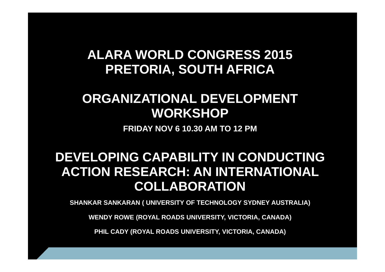### **ALARA WORLD CONGRESS 2015PRETORIA, SOUTH AFRICA**

### **ORGANIZATIONAL DEVELOPMENT WORKSHOP**

**FRIDAY NOV 6 10.30 AM TO 12 PM**

### **DEVELOPING CAPABILITY IN CONDUCTING ACTION RESEARCH: AN INTERNATIONAL COLLABORATION**

**SHANKAR SANKARAN ( UNIVERSITY OF TECHNOLOGY SYDNEY AUSTRALIA)**

**WENDY ROWE (ROYAL ROADS UNIVERSITY, VICTORIA, CANADA)**

**PHIL CADY (ROYAL ROADS UNIVERSITY, VICTORIA, CANADA)**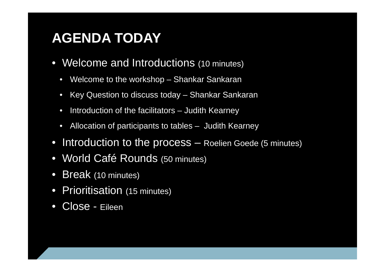# **AGENDA TODAY**

- Welcome and Introductions (10 minutes)
	- $\bullet$ Welcome to the workshop – Shankar Sankaran
	- $\bullet$ Key Question to discuss today – Shankar Sankaran
	- $\bullet$ Introduction of the facilitators – Judith Kearney
	- $\bullet$ Allocation of participants to tables – Judith Kearney
- Introduction to the process Roelien Goede (5 minutes)
- World Café Rounds (50 minutes)
- $\bullet$ Break (10 minutes)
- $\bullet$ Prioritisation (15 minutes)
- $\bullet$ Close - Eileen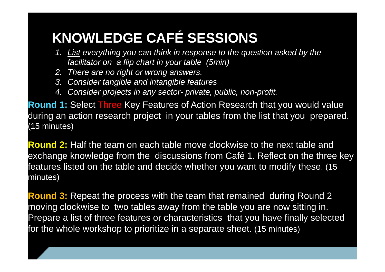# **KNOWLEDGE CAFÉ SESSIONS**

- *1. List everything you can think in response to the question asked by the facilitator on a flip chart in your table (5min)*
- *2. There are no right or wrong answers.*
- *3. Consider tangible and intangible features*
- *4. Consider projects in any sector- private, public, non-profit.*

**Round 1:** Select Three Key Features of Action Research that you would value during an action research project in your tables from the list that you prepared. (15 minutes)

**Round 2:** Half the team on each table move clockwise to the next table and exchange knowledge from the discussions from Café 1. Reflect on the three key features listed on the table and decide whether you want to modify these. (15 minutes)

**Round 3:** Repeat the process with the team that remained during Round 2 moving clockwise to two tables away from the table you are now sitting in. Prepare a list of three features or characteristics that you have finally selected for the whole workshop to prioritize in a separate sheet. (15 minutes)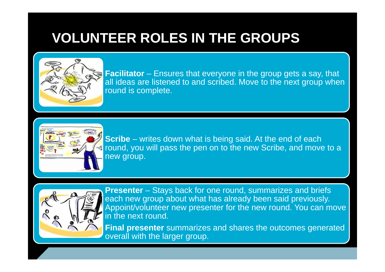# **VOLUNTEER ROLES IN THE GROUPS**



**Facilitator** – Ensures that everyone in the group gets a say, that all ideas are listened to and scribed. Move to the next group when round is complete.



**Scribe** – writes down what is being said. At the end of each round, you will pass the pen on to the new Scribe, and move to a new group.



**Presenter** – Stays back for one round, summarizes and briefs each new group about what has already been said previously. Appoint/volunteer new presenter for the new round. You can move in the next round.

**Final presenter** summarizes and shares the outcomes generated overall with the larger group.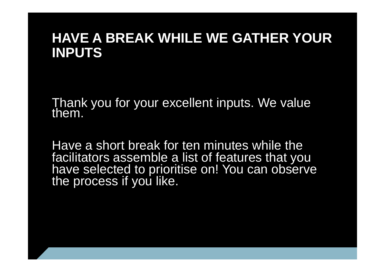### **HAVE A BREAK WHILE WE GATHER YOUR INPUTS**

Thank you for your excellent inputs. We value

Have a short break for ten minutes while the facilitators assemble a list of features that you have selected to prioritise on! You can observe the process if you like.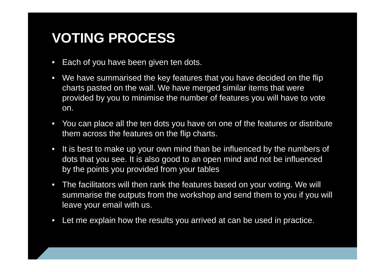## **VOTING PROCESS**

- •Each of you have been given ten dots.
- $\bullet$  We have summarised the key features that you have decided on the flip charts pasted on the wall. We have merged similar items that were provided by you to minimise the number of features you will have to vote on.
- You can place all the ten dots you have on one of the features or distribute them across the features on the flip charts.
- It is best to make up your own mind than be influenced by the numbers of dots that you see. It is also good to an open mind and not be influenced by the points you provided from your tables
- • The facilitators will then rank the features based on your voting. We will summarise the outputs from the workshop and send them to you if you will leave your email with us.
- $\bullet$ Let me explain how the results you arrived at can be used in practice.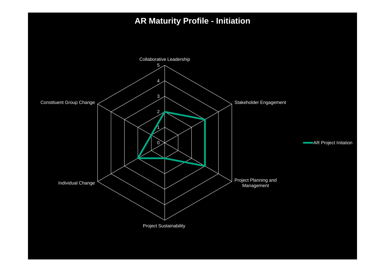#### **AR Maturity Profile - Initiation**

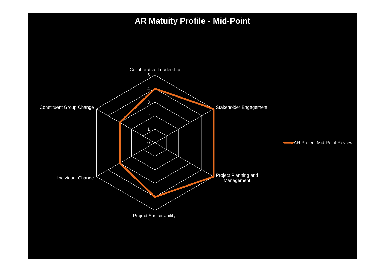#### **AR Matuity Profile - Mid-Point**

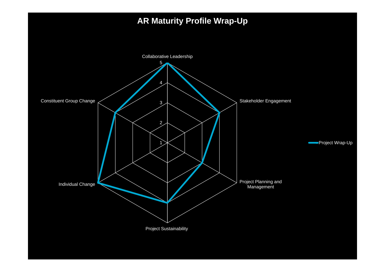#### **AR Maturity Profile Wrap-Up**